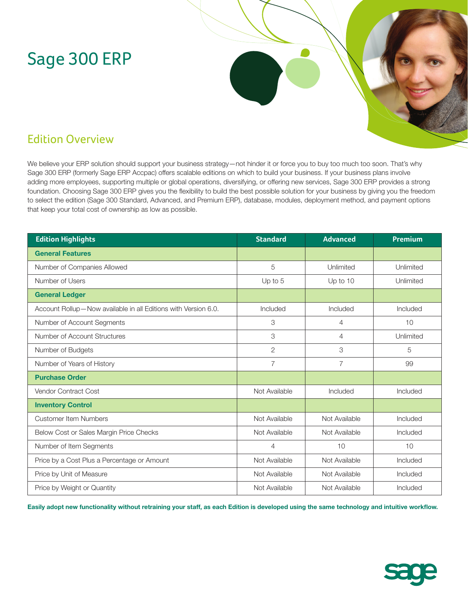# Sage 300 ERP



## Edition Overview

We believe your ERP solution should support your business strategy—not hinder it or force you to buy too much too soon. That's why Sage 300 ERP (formerly Sage ERP Accpac) offers scalable editions on which to build your business. If your business plans involve adding more employees, supporting multiple or global operations, diversifying, or offering new services, Sage 300 ERP provides a strong foundation. Choosing Sage 300 ERP gives you the flexibility to build the best possible solution for your business by giving you the freedom to select the edition (Sage 300 Standard, Advanced, and Premium ERP), database, modules, deployment method, and payment options that keep your total cost of ownership as low as possible.

| <b>Edition Highlights</b>                                      | <b>Standard</b> | <b>Advanced</b> | <b>Premium</b> |
|----------------------------------------------------------------|-----------------|-----------------|----------------|
| <b>General Features</b>                                        |                 |                 |                |
| Number of Companies Allowed                                    | 5               | Unlimited       | Unlimited      |
| Number of Users                                                | Up to 5         | Up to 10        | Unlimited      |
| <b>General Ledger</b>                                          |                 |                 |                |
| Account Rollup-Now available in all Editions with Version 6.0. | Included        | Included        | Included       |
| Number of Account Segments                                     | 3               | $\overline{4}$  | 10             |
| Number of Account Structures                                   | 3               | $\overline{4}$  | Unlimited      |
| Number of Budgets                                              | 2               | 3               | 5              |
| Number of Years of History                                     | $\overline{7}$  | $\overline{7}$  | 99             |
| <b>Purchase Order</b>                                          |                 |                 |                |
| <b>Vendor Contract Cost</b>                                    | Not Available   | Included        | Included       |
| <b>Inventory Control</b>                                       |                 |                 |                |
| <b>Customer Item Numbers</b>                                   | Not Available   | Not Available   | Included       |
| Below Cost or Sales Margin Price Checks                        | Not Available   | Not Available   | Included       |
| Number of Item Segments                                        | $\overline{4}$  | 10              | 10             |
| Price by a Cost Plus a Percentage or Amount                    | Not Available   | Not Available   | Included       |
| Price by Unit of Measure                                       | Not Available   | Not Available   | Included       |
| Price by Weight or Quantity                                    | Not Available   | Not Available   | Included       |

**Easily adopt new functionality without retraining your staff, as each Edition is developed using the same technology and intuitive workflow.**